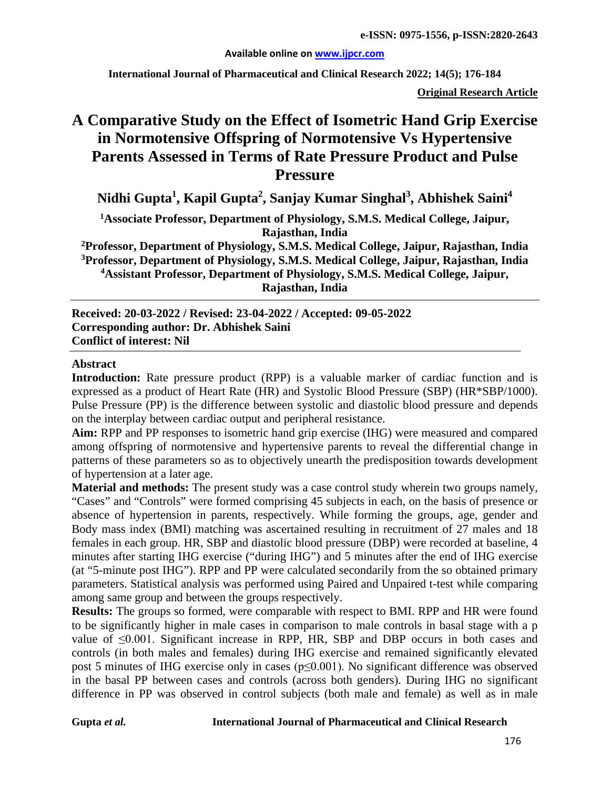#### **Available online on [www.ijpcr.com](http://www.ijpcr.com/)**

**International Journal of Pharmaceutical and Clinical Research 2022; 14(5); 176-184**

**Original Research Article**

# **A Comparative Study on the Effect of Isometric Hand Grip Exercise in Normotensive Offspring of Normotensive Vs Hypertensive Parents Assessed in Terms of Rate Pressure Product and Pulse Pressure**

**Nidhi Gupta1 , Kapil Gupta<sup>2</sup> , Sanjay Kumar Singhal3 , Abhishek Saini<sup>4</sup>**

**1Associate Professor, Department of Physiology, S.M.S. Medical College, Jaipur, Rajasthan, India**

**2Professor, Department of Physiology, S.M.S. Medical College, Jaipur, Rajasthan, India 3Professor, Department of Physiology, S.M.S. Medical College, Jaipur, Rajasthan, India 4Assistant Professor, Department of Physiology, S.M.S. Medical College, Jaipur, Rajasthan, India**

**Received: 20-03-2022 / Revised: 23-04-2022 / Accepted: 09-05-2022 Corresponding author: Dr. Abhishek Saini Conflict of interest: Nil**

#### **Abstract**

**Introduction:** Rate pressure product (RPP) is a valuable marker of cardiac function and is expressed as a product of Heart Rate (HR) and Systolic Blood Pressure (SBP) (HR\*SBP/1000). Pulse Pressure (PP) is the difference between systolic and diastolic blood pressure and depends on the interplay between cardiac output and peripheral resistance.

**Aim:** RPP and PP responses to isometric hand grip exercise (IHG) were measured and compared among offspring of normotensive and hypertensive parents to reveal the differential change in patterns of these parameters so as to objectively unearth the predisposition towards development of hypertension at a later age.

**Material and methods:** The present study was a case control study wherein two groups namely, "Cases" and "Controls" were formed comprising 45 subjects in each, on the basis of presence or absence of hypertension in parents, respectively. While forming the groups, age, gender and Body mass index (BMI) matching was ascertained resulting in recruitment of 27 males and 18 females in each group. HR, SBP and diastolic blood pressure (DBP) were recorded at baseline, 4 minutes after starting IHG exercise ("during IHG") and 5 minutes after the end of IHG exercise (at "5-minute post IHG"). RPP and PP were calculated secondarily from the so obtained primary parameters. Statistical analysis was performed using Paired and Unpaired t-test while comparing among same group and between the groups respectively.

**Results:** The groups so formed, were comparable with respect to BMI. RPP and HR were found to be significantly higher in male cases in comparison to male controls in basal stage with a p value of  $\leq 0.001$ . Significant increase in RPP, HR, SBP and DBP occurs in both cases and controls (in both males and females) during IHG exercise and remained significantly elevated post 5 minutes of IHG exercise only in cases (p≤0.001). No significant difference was observed in the basal PP between cases and controls (across both genders). During IHG no significant difference in PP was observed in control subjects (both male and female) as well as in male

#### **Gupta** *et al.* **International Journal of Pharmaceutical and Clinical Research**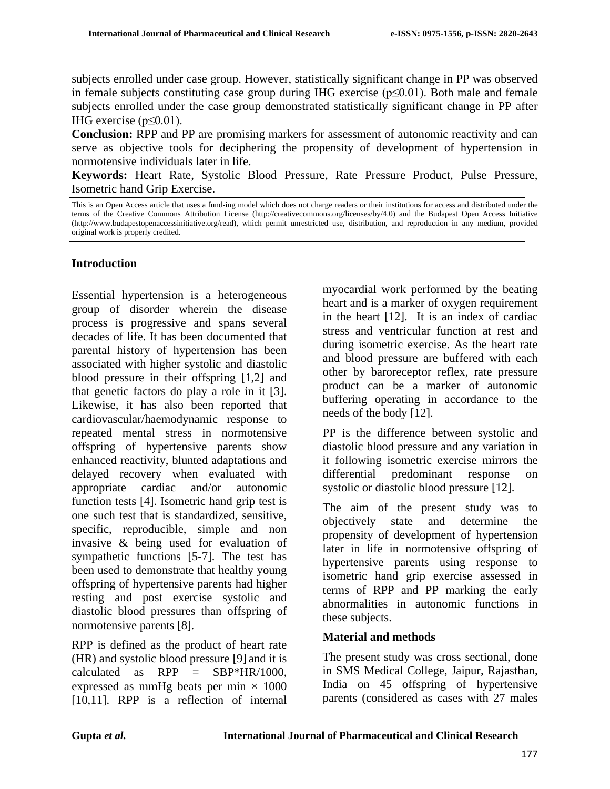subjects enrolled under case group. However, statistically significant change in PP was observed in female subjects constituting case group during IHG exercise ( $p \le 0.01$ ). Both male and female subjects enrolled under the case group demonstrated statistically significant change in PP after IHG exercise ( $p \le 0.01$ ).

**Conclusion:** RPP and PP are promising markers for assessment of autonomic reactivity and can serve as objective tools for deciphering the propensity of development of hypertension in normotensive individuals later in life.

**Keywords:** Heart Rate, Systolic Blood Pressure, Rate Pressure Product, Pulse Pressure, Isometric hand Grip Exercise.

### **Introduction**

Essential hypertension is a heterogeneous group of disorder wherein the disease process is progressive and spans several decades of life. It has been documented that parental history of hypertension has been associated with higher systolic and diastolic blood pressure in their offspring [1,2] and that genetic factors do play a role in it [3]. Likewise, it has also been reported that cardiovascular/haemodynamic response to repeated mental stress in normotensive offspring of hypertensive parents show enhanced reactivity, blunted adaptations and delayed recovery when evaluated with appropriate cardiac and/or autonomic function tests [4]. Isometric hand grip test is one such test that is standardized, sensitive, specific, reproducible, simple and non invasive & being used for evaluation of sympathetic functions [5-7]. The test has been used to demonstrate that healthy young offspring of hypertensive parents had higher resting and post exercise systolic and diastolic blood pressures than offspring of normotensive parents [8].

RPP is defined as the product of heart rate (HR) and systolic blood pressure [9] and it is calculated as  $RPP = SBP*HR/1000$ . expressed as mmHg beats per min  $\times$  1000 [10,11]. RPP is a reflection of internal myocardial work performed by the beating heart and is a marker of oxygen requirement in the heart [12]. It is an index of cardiac stress and ventricular function at rest and during isometric exercise. As the heart rate and blood pressure are buffered with each other by baroreceptor reflex, rate pressure product can be a marker of autonomic buffering operating in accordance to the needs of the body [12].

PP is the difference between systolic and diastolic blood pressure and any variation in it following isometric exercise mirrors the differential predominant response on systolic or diastolic blood pressure [12].

The aim of the present study was to objectively state and determine the propensity of development of hypertension later in life in normotensive offspring of hypertensive parents using response to isometric hand grip exercise assessed in terms of RPP and PP marking the early abnormalities in autonomic functions in these subjects.

### **Material and methods**

The present study was cross sectional, done in SMS Medical College, Jaipur, Rajasthan, India on 45 offspring of hypertensive parents (considered as cases with 27 males

This is an Open Access article that uses a fund-ing model which does not charge readers or their institutions for access and distributed under the terms of the Creative Commons Attribution License (http://creativecommons.org/licenses/by/4.0) and the Budapest Open Access Initiative (http://www.budapestopenaccessinitiative.org/read), which permit unrestricted use, distribution, and reproduction in any medium, provided original work is properly credited.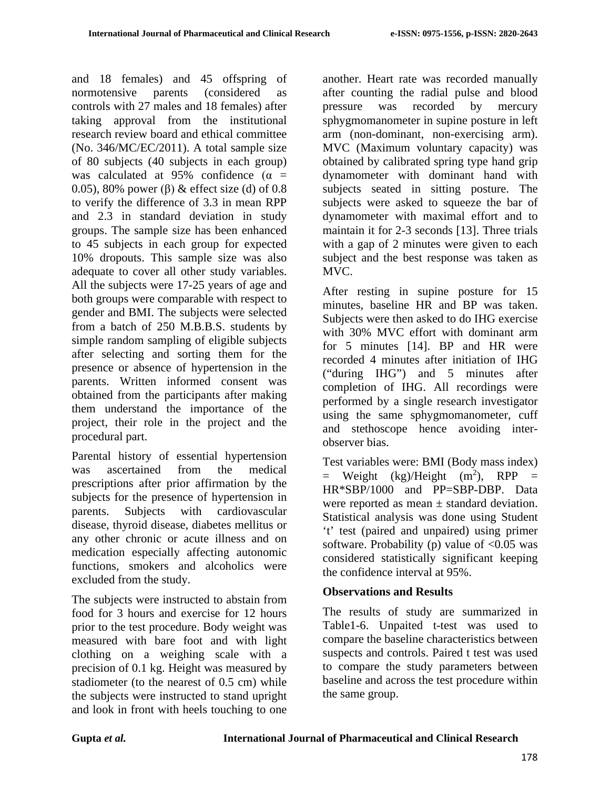and 18 females) and 45 offspring of normotensive parents (considered as controls with 27 males and 18 females) after taking approval from the institutional research review board and ethical committee (No. 346/MC/EC/2011). A total sample size of 80 subjects (40 subjects in each group) was calculated at 95% confidence ( $\alpha$  = 0.05), 80% power (β) & effect size (d) of 0.8 to verify the difference of 3.3 in mean RPP and 2.3 in standard deviation in study groups. The sample size has been enhanced to 45 subjects in each group for expected 10% dropouts. This sample size was also adequate to cover all other study variables. All the subjects were 17-25 years of age and both groups were comparable with respect to gender and BMI. The subjects were selected from a batch of 250 M.B.B.S. students by simple random sampling of eligible subjects after selecting and sorting them for the presence or absence of hypertension in the parents. Written informed consent was obtained from the participants after making them understand the importance of the project, their role in the project and the procedural part.

Parental history of essential hypertension was ascertained from the medical prescriptions after prior affirmation by the subjects for the presence of hypertension in parents. Subjects with cardiovascular disease, thyroid disease, diabetes mellitus or any other chronic or acute illness and on medication especially affecting autonomic functions, smokers and alcoholics were excluded from the study.

The subjects were instructed to abstain from food for 3 hours and exercise for 12 hours prior to the test procedure. Body weight was measured with bare foot and with light clothing on a weighing scale with a precision of 0.1 kg. Height was measured by stadiometer (to the nearest of 0.5 cm) while the subjects were instructed to stand upright and look in front with heels touching to one

another. Heart rate was recorded manually after counting the radial pulse and blood pressure was recorded by mercury sphygmomanometer in supine posture in left arm (non-dominant, non-exercising arm). MVC (Maximum voluntary capacity) was obtained by calibrated spring type hand grip dynamometer with dominant hand with subjects seated in sitting posture. The subjects were asked to squeeze the bar of dynamometer with maximal effort and to maintain it for 2-3 seconds [13]. Three trials with a gap of 2 minutes were given to each subject and the best response was taken as MVC.

After resting in supine posture for 15 minutes, baseline HR and BP was taken. Subjects were then asked to do IHG exercise with 30% MVC effort with dominant arm for 5 minutes [14]. BP and HR were recorded 4 minutes after initiation of IHG ("during IHG") and 5 minutes after completion of IHG. All recordings were performed by a single research investigator using the same sphygmomanometer, cuff and stethoscope hence avoiding interobserver bias.

Test variables were: BMI (Body mass index)  $=$  Weight (kg)/Height (m<sup>2</sup>), RPP  $=$ HR\*SBP/1000 and PP=SBP-DBP. Data were reported as mean  $\pm$  standard deviation. Statistical analysis was done using Student 't' test (paired and unpaired) using primer software. Probability (p) value of  $\langle 0.05 \rangle$  was considered statistically significant keeping the confidence interval at 95%.

## **Observations and Results**

The results of study are summarized in Table1-6. Unpaited t-test was used to compare the baseline characteristics between suspects and controls. Paired t test was used to compare the study parameters between baseline and across the test procedure within the same group.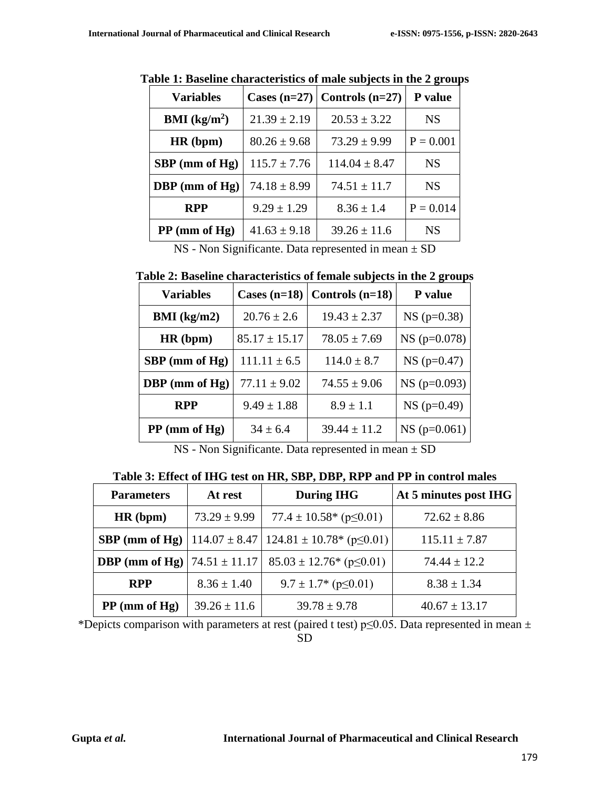| <b>Variables</b>       |                  | Cases $(n=27)$ Controls $(n=27)$ | P value     |
|------------------------|------------------|----------------------------------|-------------|
| <b>BMI</b> ( $kg/m2$ ) | $21.39 \pm 2.19$ | $20.53 \pm 3.22$                 | <b>NS</b>   |
| HR(bpm)                | $80.26 \pm 9.68$ | $73.29 \pm 9.99$                 | $P = 0.001$ |
| $SBP$ (mm of Hg)       | $115.7 \pm 7.76$ | $114.04 \pm 8.47$                | <b>NS</b>   |
| DBP (mm of Hg)         | $74.18 \pm 8.99$ | $74.51 \pm 11.7$                 | <b>NS</b>   |
| <b>RPP</b>             | $9.29 \pm 1.29$  | $8.36 \pm 1.4$                   | $P = 0.014$ |
| $PP$ (mm of Hg)        | $41.63 \pm 9.18$ | $39.26 \pm 11.6$                 | <b>NS</b>   |

**Table 1: Baseline characteristics of male subjects in the 2 groups**

NS - Non Significante. Data represented in mean  $\pm$  SD

| Table 2: Baseline characteristics of female subjects in the 2 groups |  |  |  |
|----------------------------------------------------------------------|--|--|--|
|                                                                      |  |  |  |

| <b>Variables</b> | Cases $(n=18)$    | Controls $(n=18)$ | P value        |
|------------------|-------------------|-------------------|----------------|
| BMI (kg/m2)      | $20.76 \pm 2.6$   | $19.43 \pm 2.37$  | $NS (p=0.38)$  |
| HR(bpm)          | $85.17 \pm 15.17$ | $78.05 \pm 7.69$  | $NS (p=0.078)$ |
| $SBP$ (mm of Hg) | $111.11 \pm 6.5$  | $114.0 \pm 8.7$   | $NS (p=0.47)$  |
| DBP (mm of Hg)   | $77.11 \pm 9.02$  | $74.55 \pm 9.06$  | $NS (p=0.093)$ |
| <b>RPP</b>       | $9.49 \pm 1.88$   | $8.9 \pm 1.1$     | $NS$ (p=0.49)  |
| $PP$ (mm of Hg)  | $34 \pm 6.4$      | $39.44 \pm 11.2$  | $NS (p=0.061)$ |

NS - Non Significante. Data represented in mean ± SD

**Table 3: Effect of IHG test on HR, SBP, DBP, RPP and PP in control males**

| <b>Parameters</b> | At rest           | <b>During IHG</b>                                                        | At 5 minutes post IHG |
|-------------------|-------------------|--------------------------------------------------------------------------|-----------------------|
| HR(bpm)           | $73.29 \pm 9.99$  | $77.4 \pm 10.58$ <sup>*</sup> (p $\leq 0.01$ )                           | $72.62 \pm 8.86$      |
|                   |                   | <b>SBP (mm of Hg)</b>   114.07 ± 8.47   124.81 ± 10.78* ( $p \le 0.01$ ) | $115.11 \pm 7.87$     |
| DBP (mm of $Hg$ ) | $74.51 \pm 11.17$ | $85.03 \pm 12.76$ * (p $\leq 0.01$ )                                     | $74.44 \pm 12.2$      |
| <b>RPP</b>        | $8.36 \pm 1.40$   | $9.7 \pm 1.7$ (p $\leq 0.01$ )                                           | $8.38 \pm 1.34$       |
| $PP$ (mm of Hg)   | $39.26 \pm 11.6$  | $39.78 \pm 9.78$                                                         | $40.67 \pm 13.17$     |

\*Depicts comparison with parameters at rest (paired t test) p≤0.05. Data represented in mean  $\pm$ SD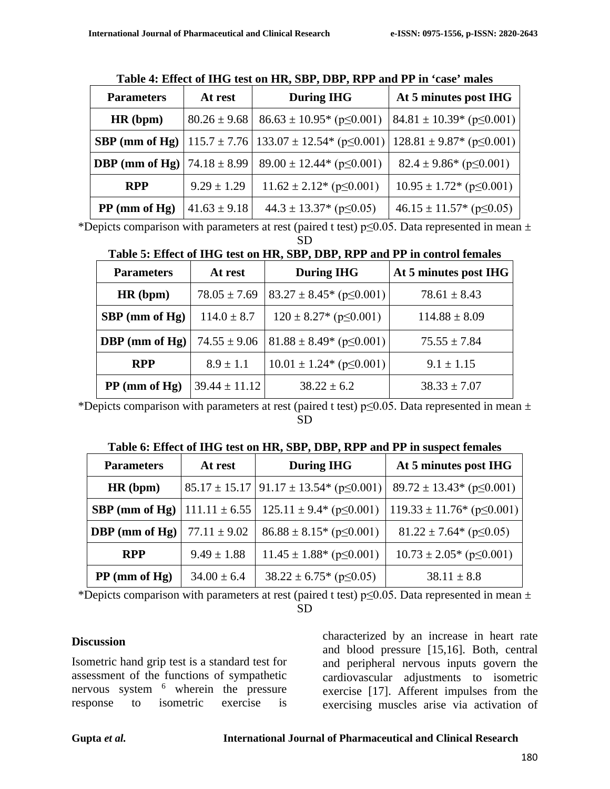| <b>Parameters</b> | At rest          | <b>During IHG</b>                                                                             | At 5 minutes post IHG                |
|-------------------|------------------|-----------------------------------------------------------------------------------------------|--------------------------------------|
| HR(bpm)           | $80.26 \pm 9.68$ | $86.63 \pm 10.95$ * (p $\leq 0.001$ )                                                         | $84.81 \pm 10.39$ (p $\leq 0.001$ )  |
| $SBP$ (mm of Hg)  |                  | $115.7 \pm 7.76$   133.07 $\pm$ 12.54* (p $\leq$ 0.001)   128.81 $\pm$ 9.87* (p $\leq$ 0.001) |                                      |
| DBP (mm of $Hg$ ) | $74.18 \pm 8.99$ | $89.00 \pm 12.44$ * (p $\leq 0.001$ )                                                         | $82.4 \pm 9.86^*$ (p $\leq 0.001$ )  |
| <b>RPP</b>        | $9.29 \pm 1.29$  | $11.62 \pm 2.12$ (p $\leq 0.001$ )                                                            | $10.95 \pm 1.72$ * (p $\leq 0.001$ ) |
| $PP$ (mm of Hg)   | $41.63 \pm 9.18$ | $44.3 \pm 13.37$ * (p $\leq 0.05$ )                                                           | $46.15 \pm 11.57$ * (p $\leq 0.05$ ) |

**Table 4: Effect of IHG test on HR, SBP, DBP, RPP and PP in 'case' males**

\*Depicts comparison with parameters at rest (paired t test)  $p\leq 0.05$ . Data represented in mean  $\pm$ SD

| Table 5: Effect of IHG test on HR, SBP, DBP, RPP and PP in control females |  |  |  |
|----------------------------------------------------------------------------|--|--|--|
|----------------------------------------------------------------------------|--|--|--|

| <b>During IHG</b><br>At rest<br><b>Parameters</b> |                   | At 5 minutes post IHG                |                   |
|---------------------------------------------------|-------------------|--------------------------------------|-------------------|
| HR(bpm)                                           | $78.05 \pm 7.69$  | $83.27 \pm 8.45$ * (p $\leq 0.001$ ) | $78.61 \pm 8.43$  |
| $SBP$ (mm of Hg)                                  | $114.0 \pm 8.7$   | $120 \pm 8.27$ * (p $\leq 0.001$ )   | $114.88 \pm 8.09$ |
| DBP (mm of $Hg$ )                                 | $74.55 \pm 9.06$  | $81.88 \pm 8.49$ (p $\leq 0.001$ )   | $75.55 \pm 7.84$  |
| <b>RPP</b>                                        | $8.9 \pm 1.1$     | $10.01 \pm 1.24$ * (p $\leq 0.001$ ) | $9.1 \pm 1.15$    |
| $PP$ (mm of Hg)                                   | $39.44 \pm 11.12$ | $38.22 \pm 6.2$                      | $38.33 \pm 7.07$  |

\*Depicts comparison with parameters at rest (paired t test) p $\leq$ 0.05. Data represented in mean  $\pm$ SD

**Table 6: Effect of IHG test on HR, SBP, DBP, RPP and PP in suspect females**

| <b>Parameters</b><br>At rest |                  | <b>During IHG</b>                                                              | At 5 minutes post IHG                |  |
|------------------------------|------------------|--------------------------------------------------------------------------------|--------------------------------------|--|
| HR(bpm)                      |                  | $85.17 \pm 15.17$ 91.17 $\pm 13.54$ (p $\leq 0.001$ )                          | $89.72 \pm 13.43$ (p $\leq 0.001$ )  |  |
|                              |                  | <b>SBP</b> (mm of Hg)   111.11 $\pm$ 6.55   125.11 $\pm$ 9.4* (p $\leq$ 0.001) | $119.33 \pm 11.76$ (p $\leq 0.001$ ) |  |
| <b>DBP</b> (mm of Hg)        | $77.11 \pm 9.02$ | $86.88 \pm 8.15$ * (p $\leq 0.001$ )                                           | $81.22 \pm 7.64$ (p $\leq 0.05$ )    |  |
| <b>RPP</b>                   | $9.49 \pm 1.88$  | $11.45 \pm 1.88^*$ (p $\leq 0.001$ )                                           | $10.73 \pm 2.05$ * (p $\leq 0.001$ ) |  |
| $PP$ (mm of Hg)              | $34.00 \pm 6.4$  | $38.22 \pm 6.75$ * (p $\leq 0.05$ )                                            | $38.11 \pm 8.8$                      |  |

\*Depicts comparison with parameters at rest (paired t test)  $p \le 0.05$ . Data represented in mean  $\pm$ SD

#### **Discussion**

Isometric hand grip test is a standard test for assessment of the functions of sympathetic nervous system <sup>6</sup> wherein the pressure response to isometric exercise is

characterized by an increase in heart rate and blood pressure [15,16]. Both, central and peripheral nervous inputs govern the cardiovascular adjustments to isometric exercise [17]. Afferent impulses from the exercising muscles arise via activation of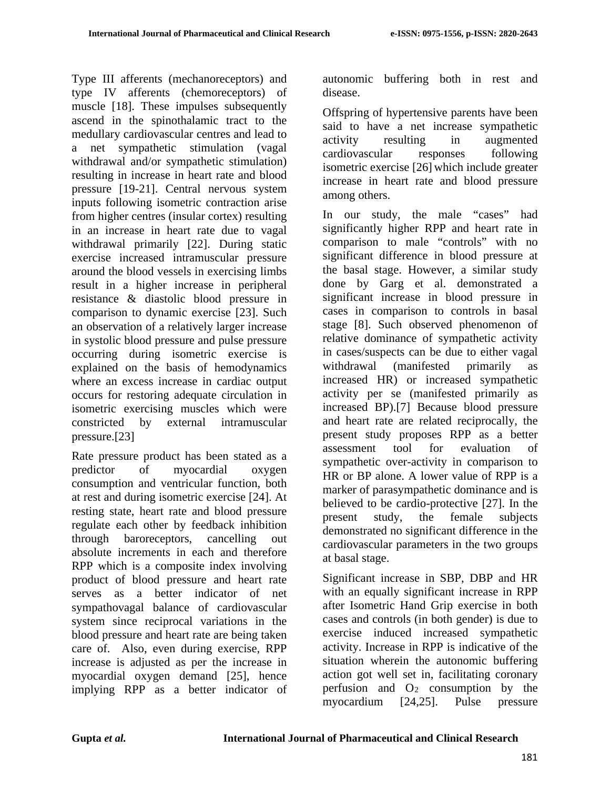Type III afferents (mechanoreceptors) and type IV afferents (chemoreceptors) of muscle [18]. These impulses subsequently ascend in the spinothalamic tract to the medullary cardiovascular centres and lead to a net sympathetic stimulation (vagal withdrawal and/or sympathetic stimulation) resulting in increase in heart rate and blood pressure [19-21]. Central nervous system inputs following isometric contraction arise from higher centres (insular cortex) resulting in an increase in heart rate due to vagal withdrawal primarily [22]. During static exercise increased intramuscular pressure around the blood vessels in exercising limbs result in a higher increase in peripheral resistance & diastolic blood pressure in comparison to dynamic exercise [23]. Such an observation of a relatively larger increase in systolic blood pressure and pulse pressure occurring during isometric exercise is explained on the basis of hemodynamics where an excess increase in cardiac output occurs for restoring adequate circulation in isometric exercising muscles which were constricted by external intramuscular pressure.[23]

Rate pressure product has been stated as a predictor of myocardial oxygen consumption and ventricular function, both at rest and during isometric exercise [24]. At resting state, heart rate and blood pressure regulate each other by feedback inhibition through baroreceptors, cancelling out absolute increments in each and therefore RPP which is a composite index involving product of blood pressure and heart rate serves as a better indicator of net sympathovagal balance of cardiovascular system since reciprocal variations in the blood pressure and heart rate are being taken care of. Also, even during exercise, RPP increase is adjusted as per the increase in myocardial oxygen demand [25], hence implying RPP as a better indicator of autonomic buffering both in rest and disease.

Offspring of hypertensive parents have been said to have a net increase sympathetic activity resulting in augmented cardiovascular responses following isometric exercise [26] which include greater increase in heart rate and blood pressure among others.

In our study, the male "cases" had significantly higher RPP and heart rate in comparison to male "controls" with no significant difference in blood pressure at the basal stage. However, a similar study done by Garg et al. demonstrated a significant increase in blood pressure in cases in comparison to controls in basal stage [8]. Such observed phenomenon of relative dominance of sympathetic activity in cases/suspects can be due to either vagal withdrawal (manifested primarily as increased HR) or increased sympathetic activity per se (manifested primarily as increased BP).[7] Because blood pressure and heart rate are related reciprocally, the present study proposes RPP as a better assessment tool for evaluation of sympathetic over-activity in comparison to HR or BP alone. A lower value of RPP is a marker of parasympathetic dominance and is believed to be cardio-protective [27]. In the present study, the female subjects demonstrated no significant difference in the cardiovascular parameters in the two groups at basal stage.

Significant increase in SBP, DBP and HR with an equally significant increase in RPP after Isometric Hand Grip exercise in both cases and controls (in both gender) is due to exercise induced increased sympathetic activity. Increase in RPP is indicative of the situation wherein the autonomic buffering action got well set in, facilitating coronary perfusion and  $O_2$  consumption by the myocardium [24,25]. Pulse pressure myocardium [24,25]. Pulse pressure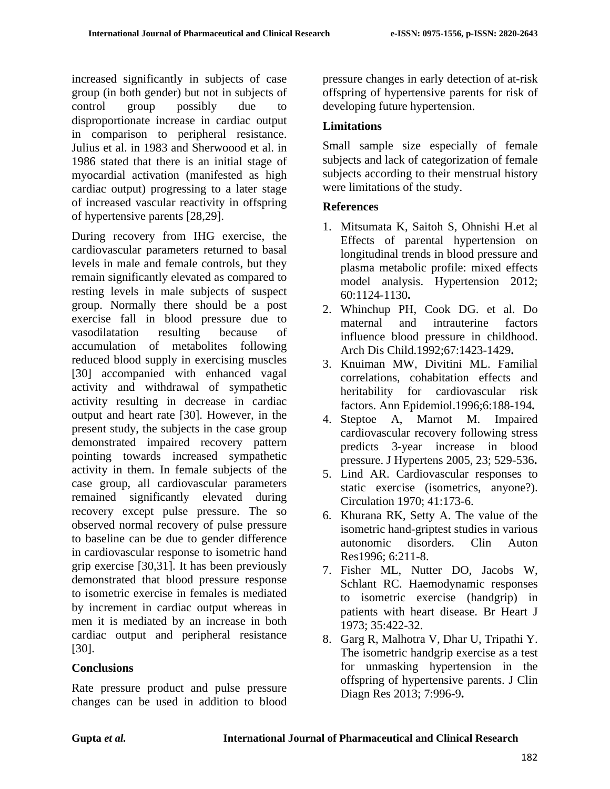increased significantly in subjects of case group (in both gender) but not in subjects of control group possibly due to disproportionate increase in cardiac output in comparison to peripheral resistance. Julius et al. in 1983 and Sherwoood et al. in 1986 stated that there is an initial stage of myocardial activation (manifested as high cardiac output) progressing to a later stage of increased vascular reactivity in offspring of hypertensive parents [28,29].

During recovery from IHG exercise, the cardiovascular parameters returned to basal levels in male and female controls, but they remain significantly elevated as compared to resting levels in male subjects of suspect group. Normally there should be a post exercise fall in blood pressure due to vasodilatation resulting because of accumulation of metabolites following reduced blood supply in exercising muscles [30] accompanied with enhanced vagal activity and withdrawal of sympathetic activity resulting in decrease in cardiac output and heart rate [30]. However, in the present study, the subjects in the case group demonstrated impaired recovery pattern pointing towards increased sympathetic activity in them. In female subjects of the case group, all cardiovascular parameters remained significantly elevated during recovery except pulse pressure. The so observed normal recovery of pulse pressure to baseline can be due to gender difference in cardiovascular response to isometric hand grip exercise [30,31]. It has been previously demonstrated that blood pressure response to isometric exercise in females is mediated by increment in cardiac output whereas in men it is mediated by an increase in both cardiac output and peripheral resistance [30].

## **Conclusions**

Rate pressure product and pulse pressure changes can be used in addition to blood

pressure changes in early detection of at-risk offspring of hypertensive parents for risk of developing future hypertension.

### **Limitations**

Small sample size especially of female subjects and lack of categorization of female subjects according to their menstrual history were limitations of the study.

### **References**

- 1. Mitsumata K, Saitoh S, Ohnishi H.et al Effects of parental hypertension on longitudinal trends in blood pressure and plasma metabolic profile: mixed effects model analysis. Hypertension 2012; 60:1124-1130**.**
- 2. Whinchup PH, Cook DG. et al. Do maternal and intrauterine factors influence blood pressure in childhood. Arch Dis Child.1992;67:1423-1429**.**
- 3. Knuiman MW, Divitini ML. Familial correlations, cohabitation effects and heritability for cardiovascular risk factors. Ann Epidemiol.1996;6:188-194**.**
- 4. Steptoe A, Marnot M. Impaired cardiovascular recovery following stress predicts 3-year increase in blood pressure. J Hypertens 2005, 23; 529-536**.**
- 5. Lind AR. Cardiovascular responses to static exercise (isometrics, anyone?). Circulation 1970; 41:173-6.
- 6. Khurana RK, Setty A. The value of the isometric hand-griptest studies in various autonomic disorders. Clin Auton Res1996; 6:211-8.
- 7. Fisher ML, Nutter DO, Jacobs W, Schlant RC. Haemodynamic responses to isometric exercise (handgrip) in patients with heart disease. Br Heart J 1973; 35:422-32.
- 8. Garg R, Malhotra V, Dhar U, Tripathi Y. The isometric handgrip exercise as a test for unmasking hypertension in the offspring of hypertensive parents. J Clin Diagn Res 2013; 7:996-9**.**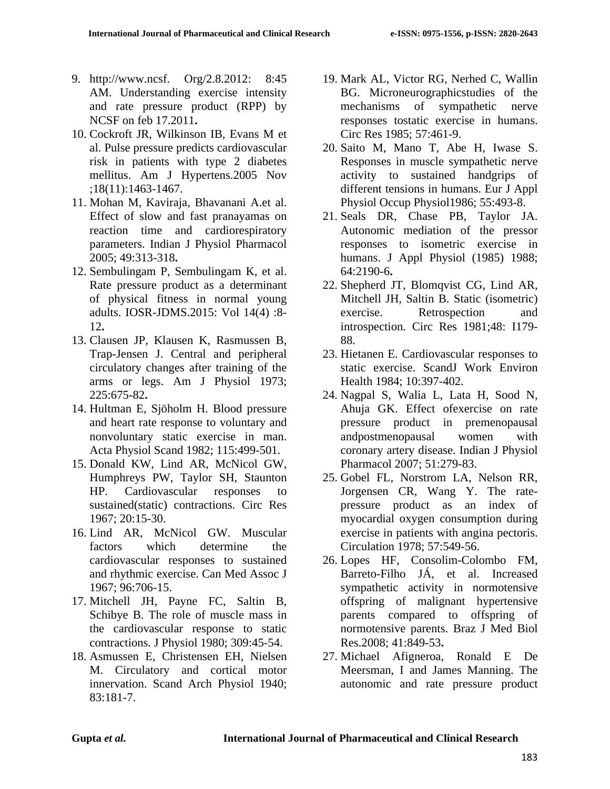- 9. http://www.ncsf. Org/2.8.2012: 8:45 AM. Understanding exercise intensity and rate pressure product (RPP) by NCSF on feb 17.2011**.**
- 10. Cockroft JR, Wilkinson IB, Evans M et al. Pulse pressure predicts cardiovascular risk in patients with type 2 diabetes mellitus. Am J Hypertens.2005 Nov ;18(11):1463-1467.
- 11. Mohan M, Kaviraja, Bhavanani A.et al. Effect of slow and fast pranayamas on reaction time and cardiorespiratory parameters. Indian J Physiol Pharmacol 2005; 49:313-318**.**
- 12. Sembulingam P, Sembulingam K, et al. Rate pressure product as a determinant of physical fitness in normal young adults. IOSR-JDMS.2015: Vol 14(4) :8- 12**.**
- 13. Clausen JP, Klausen K, Rasmussen B, Trap-Jensen J. Central and peripheral circulatory changes after training of the arms or legs. Am J Physiol 1973; 225:675-82**.**
- 14. Hultman E, Sjöholm H. Blood pressure and heart rate response to voluntary and nonvoluntary static exercise in man. Acta Physiol Scand 1982; 115:499-501.
- 15. Donald KW, Lind AR, McNicol GW, Humphreys PW, Taylor SH, Staunton HP. Cardiovascular responses to sustained(static) contractions. Circ Res 1967; 20:15-30.
- 16. Lind AR, McNicol GW. Muscular factors which determine the cardiovascular responses to sustained and rhythmic exercise. Can Med Assoc J 1967; 96:706-15.
- 17. Mitchell JH, Payne FC, Saltin B, Schibye B. The role of muscle mass in the cardiovascular response to static contractions. J Physiol 1980; 309:45-54.
- 18. Asmussen E, Christensen EH, Nielsen M. Circulatory and cortical motor innervation. Scand Arch Physiol 1940; 83:181-7.
- 19. Mark AL, Victor RG, Nerhed C, Wallin BG. Microneurographicstudies of the mechanisms of sympathetic nerve responses tostatic exercise in humans. Circ Res 1985; 57:461-9.
- 20. Saito M, Mano T, Abe H, Iwase S. Responses in muscle sympathetic nerve activity to sustained handgrips of different tensions in humans. Eur J Appl Physiol Occup Physiol1986; 55:493-8.
- 21. Seals DR, Chase PB, Taylor JA. Autonomic mediation of the pressor responses to isometric exercise in humans. J Appl Physiol (1985) 1988; 64:2190-6**.**
- 22. Shepherd JT, Blomqvist CG, Lind AR, Mitchell JH, Saltin B. Static (isometric) exercise. Retrospection and introspection. Circ Res 1981;48: I179- 88.
- 23. Hietanen E. Cardiovascular responses to static exercise. ScandJ Work Environ Health 1984; 10:397-402.
- 24. Nagpal S, Walia L, Lata H, Sood N, Ahuja GK. Effect ofexercise on rate pressure product in premenopausal andpostmenopausal women with coronary artery disease. Indian J Physiol Pharmacol 2007; 51:279-83.
- 25. Gobel FL, Norstrom LA, Nelson RR, Jorgensen CR, Wang Y. The ratepressure product as an index of myocardial oxygen consumption during exercise in patients with angina pectoris. Circulation 1978; 57:549-56.
- 26. Lopes HF, Consolim-Colombo FM, Barreto-Filho JÁ, et al. Increased sympathetic activity in normotensive offspring of malignant hypertensive parents compared to offspring of normotensive parents. Braz J Med Biol Res.2008; 41:849-53**.**
- 27. Michael Afigneroa, Ronald E De Meersman, I and James Manning. The autonomic and rate pressure product